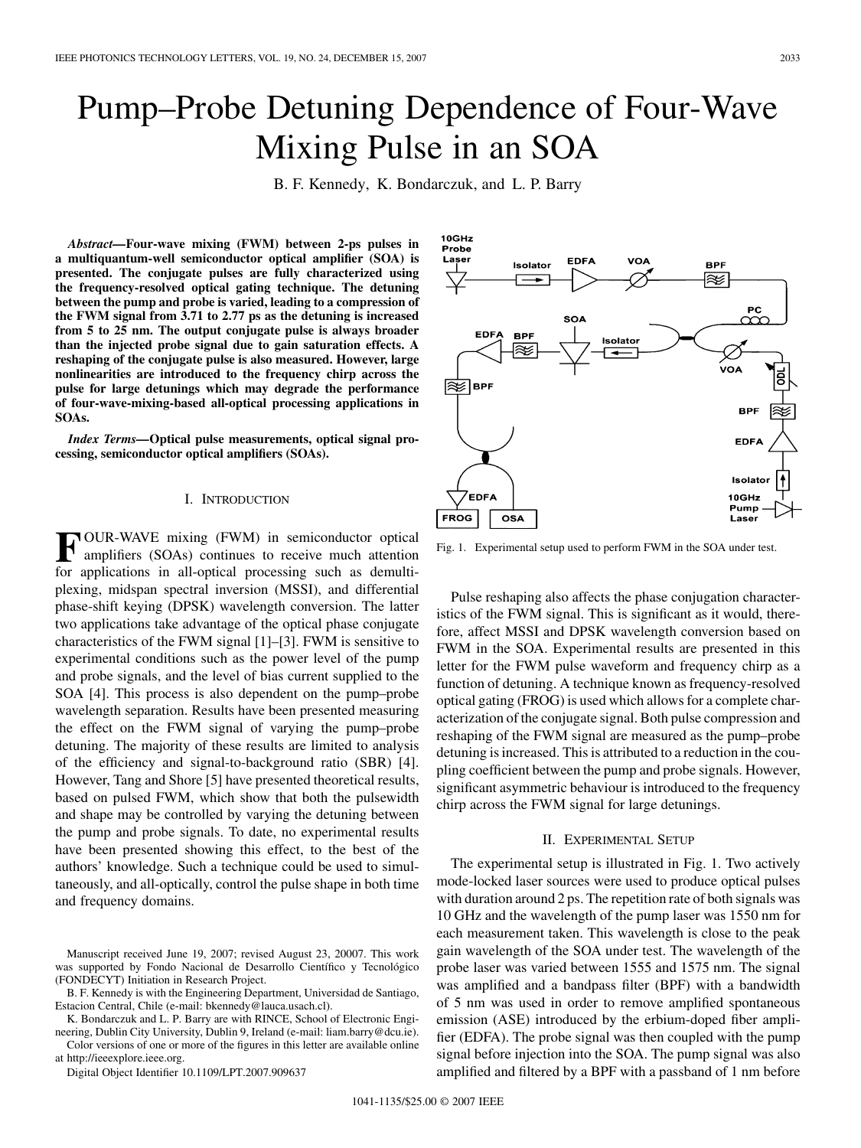# Pump–Probe Detuning Dependence of Four-Wave Mixing Pulse in an SOA

B. F. Kennedy, K. Bondarczuk, and L. P. Barry

*Abstract—***Four-wave mixing (FWM) between 2-ps pulses in a multiquantum-well semiconductor optical amplifier (SOA) is presented. The conjugate pulses are fully characterized using the frequency-resolved optical gating technique. The detuning between the pump and probe is varied, leading to a compression of the FWM signal from 3.71 to 2.77 ps as the detuning is increased from 5 to 25 nm. The output conjugate pulse is always broader than the injected probe signal due to gain saturation effects. A reshaping of the conjugate pulse is also measured. However, large nonlinearities are introduced to the frequency chirp across the pulse for large detunings which may degrade the performance of four-wave-mixing-based all-optical processing applications in SOAs.**

*Index Terms—***Optical pulse measurements, optical signal processing, semiconductor optical amplifiers (SOAs).**

#### I. INTRODUCTION

**F** OUR-WAVE mixing (FWM) in semiconductor optical amplifiers (SOAs) continues to receive much attention for applications in all-optical processing such as demultiplexing, midspan spectral inversion (MSSI), and differential phase-shift keying (DPSK) wavelength conversion. The latter two applications take advantage of the optical phase conjugate characteristics of the FWM signal [1]–[3]. FWM is sensitive to experimental conditions such as the power level of the pump and probe signals, and the level of bias current supplied to the SOA [4]. This process is also dependent on the pump–probe wavelength separation. Results have been presented measuring the effect on the FWM signal of varying the pump–probe detuning. The majority of these results are limited to analysis of the efficiency and signal-to-background ratio (SBR) [4]. However, Tang and Shore [5] have presented theoretical results, based on pulsed FWM, which show that both the pulsewidth and shape may be controlled by varying the detuning between the pump and probe signals. To date, no experimental results have been presented showing this effect, to the best of the authors' knowledge. Such a technique could be used to simultaneously, and all-optically, control the pulse shape in both time and frequency domains.

B. F. Kennedy is with the Engineering Department, Universidad de Santiago, Estacion Central, Chile (e-mail: bkennedy@lauca.usach.cl).

K. Bondarczuk and L. P. Barry are with RINCE, School of Electronic Engineering, Dublin City University, Dublin 9, Ireland (e-mail: liam.barry@dcu.ie).

Color versions of one or more of the figures in this letter are available online at http://ieeexplore.ieee.org.

Digital Object Identifier 10.1109/LPT.2007.909637



Fig. 1. Experimental setup used to perform FWM in the SOA under test.

Pulse reshaping also affects the phase conjugation characteristics of the FWM signal. This is significant as it would, therefore, affect MSSI and DPSK wavelength conversion based on FWM in the SOA. Experimental results are presented in this letter for the FWM pulse waveform and frequency chirp as a function of detuning. A technique known as frequency-resolved optical gating (FROG) is used which allows for a complete characterization of the conjugate signal. Both pulse compression and reshaping of the FWM signal are measured as the pump–probe detuning is increased. This is attributed to a reduction in the coupling coefficient between the pump and probe signals. However, significant asymmetric behaviour is introduced to the frequency chirp across the FWM signal for large detunings.

## II. EXPERIMENTAL SETUP

The experimental setup is illustrated in Fig. 1. Two actively mode-locked laser sources were used to produce optical pulses with duration around 2 ps. The repetition rate of both signals was 10 GHz and the wavelength of the pump laser was 1550 nm for each measurement taken. This wavelength is close to the peak gain wavelength of the SOA under test. The wavelength of the probe laser was varied between 1555 and 1575 nm. The signal was amplified and a bandpass filter (BPF) with a bandwidth of 5 nm was used in order to remove amplified spontaneous emission (ASE) introduced by the erbium-doped fiber amplifier (EDFA). The probe signal was then coupled with the pump signal before injection into the SOA. The pump signal was also amplified and filtered by a BPF with a passband of 1 nm before

Manuscript received June 19, 2007; revised August 23, 20007. This work was supported by Fondo Nacional de Desarrollo Científico y Tecnológico (FONDECYT) Initiation in Research Project.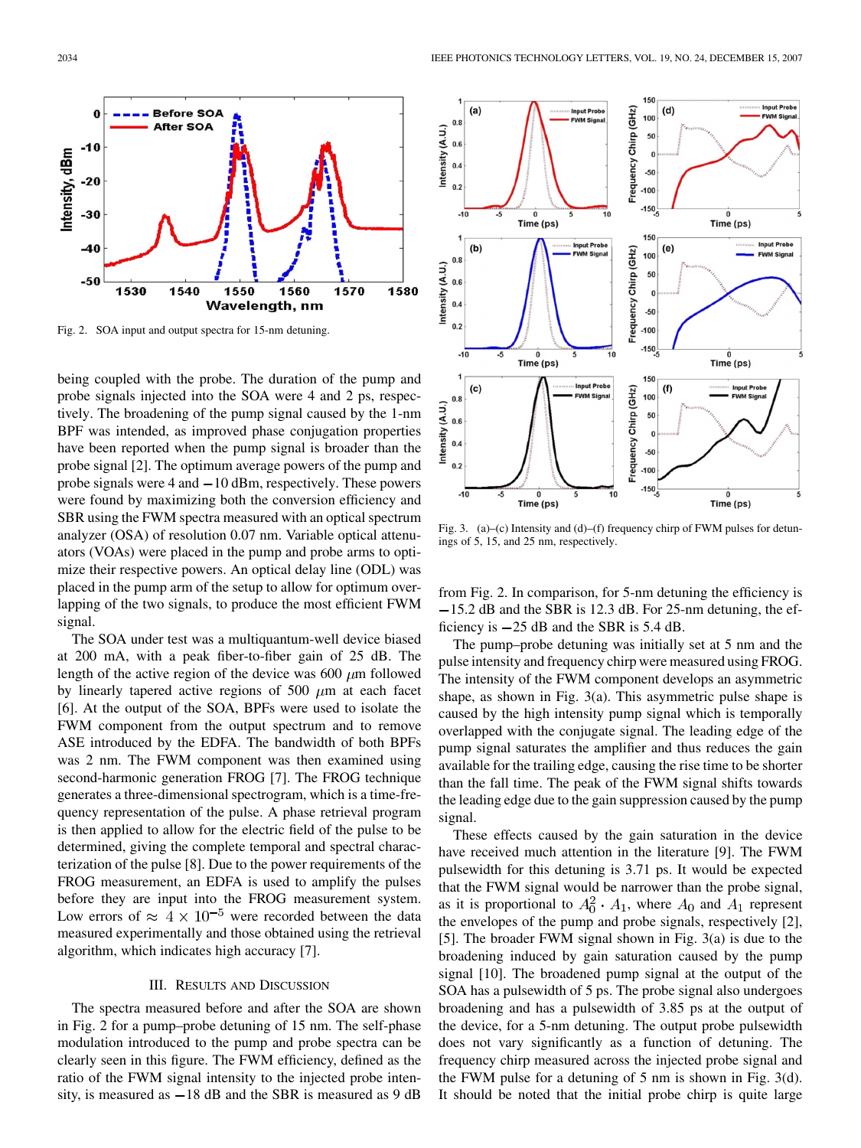

Fig. 2. SOA input and output spectra for 15-nm detuning.

being coupled with the probe. The duration of the pump and probe signals injected into the SOA were 4 and 2 ps, respectively. The broadening of the pump signal caused by the 1-nm BPF was intended, as improved phase conjugation properties have been reported when the pump signal is broader than the probe signal [2]. The optimum average powers of the pump and probe signals were  $4$  and  $-10$  dBm, respectively. These powers were found by maximizing both the conversion efficiency and SBR using the FWM spectra measured with an optical spectrum analyzer (OSA) of resolution 0.07 nm. Variable optical attenuators (VOAs) were placed in the pump and probe arms to optimize their respective powers. An optical delay line (ODL) was placed in the pump arm of the setup to allow for optimum overlapping of the two signals, to produce the most efficient FWM signal.

The SOA under test was a multiquantum-well device biased at 200 mA, with a peak fiber-to-fiber gain of 25 dB. The length of the active region of the device was 600  $\mu$ m followed by linearly tapered active regions of 500  $\mu$ m at each facet [6]. At the output of the SOA, BPFs were used to isolate the FWM component from the output spectrum and to remove ASE introduced by the EDFA. The bandwidth of both BPFs was 2 nm. The FWM component was then examined using second-harmonic generation FROG [7]. The FROG technique generates a three-dimensional spectrogram, which is a time-frequency representation of the pulse. A phase retrieval program is then applied to allow for the electric field of the pulse to be determined, giving the complete temporal and spectral characterization of the pulse [8]. Due to the power requirements of the FROG measurement, an EDFA is used to amplify the pulses before they are input into the FROG measurement system. Low errors of  $\approx 4 \times 10^{-5}$  were recorded between the data measured experimentally and those obtained using the retrieval algorithm, which indicates high accuracy [7].

## III. RESULTS AND DISCUSSION

The spectra measured before and after the SOA are shown in Fig. 2 for a pump–probe detuning of 15 nm. The self-phase modulation introduced to the pump and probe spectra can be clearly seen in this figure. The FWM efficiency, defined as the ratio of the FWM signal intensity to the injected probe intensity, is measured as  $-18$  dB and the SBR is measured as 9 dB



Fig. 3. (a)–(c) Intensity and (d)–(f) frequency chirp of FWM pulses for detunings of 5, 15, and 25 nm, respectively.

from Fig. 2. In comparison, for 5-nm detuning the efficiency is  $-15.2$  dB and the SBR is 12.3 dB. For 25-nm detuning, the efficiency is 25 dB and the SBR is 5.4 dB.

The pump–probe detuning was initially set at 5 nm and the pulse intensity and frequency chirp were measured using FROG. The intensity of the FWM component develops an asymmetric shape, as shown in Fig. 3(a). This asymmetric pulse shape is caused by the high intensity pump signal which is temporally overlapped with the conjugate signal. The leading edge of the pump signal saturates the amplifier and thus reduces the gain available for the trailing edge, causing the rise time to be shorter than the fall time. The peak of the FWM signal shifts towards the leading edge due to the gain suppression caused by the pump signal.

These effects caused by the gain saturation in the device have received much attention in the literature [9]. The FWM pulsewidth for this detuning is 3.71 ps. It would be expected that the FWM signal would be narrower than the probe signal, as it is proportional to  $A_0^2 \cdot A_1$ , where  $A_0$  and  $A_1$  represent the envelopes of the pump and probe signals, respectively [2], [5]. The broader FWM signal shown in Fig. 3(a) is due to the broadening induced by gain saturation caused by the pump signal [10]. The broadened pump signal at the output of the SOA has a pulsewidth of 5 ps. The probe signal also undergoes broadening and has a pulsewidth of 3.85 ps at the output of the device, for a 5-nm detuning. The output probe pulsewidth does not vary significantly as a function of detuning. The frequency chirp measured across the injected probe signal and the FWM pulse for a detuning of 5 nm is shown in Fig. 3(d). It should be noted that the initial probe chirp is quite large